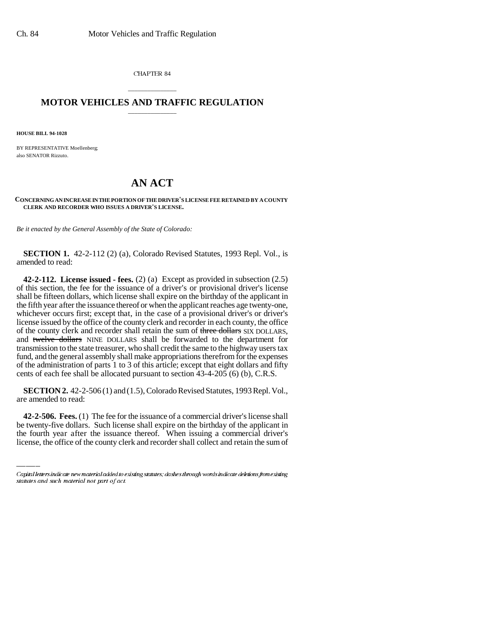CHAPTER 84

## \_\_\_\_\_\_\_\_\_\_\_\_\_\_\_ **MOTOR VEHICLES AND TRAFFIC REGULATION** \_\_\_\_\_\_\_\_\_\_\_\_\_\_\_

**HOUSE BILL 94-1028**

BY REPRESENTATIVE Moellenberg; also SENATOR Rizzuto.

## **AN ACT**

**CONCERNING AN INCREASE IN THE PORTION OF THE DRIVER'S LICENSE FEE RETAINED BY A COUNTY CLERK AND RECORDER WHO ISSUES A DRIVER'S LICENSE.**

*Be it enacted by the General Assembly of the State of Colorado:*

**SECTION 1.** 42-2-112 (2) (a), Colorado Revised Statutes, 1993 Repl. Vol., is amended to read:

**42-2-112. License issued - fees.** (2) (a) Except as provided in subsection (2.5) of this section, the fee for the issuance of a driver's or provisional driver's license shall be fifteen dollars, which license shall expire on the birthday of the applicant in the fifth year after the issuance thereof or when the applicant reaches age twenty-one, whichever occurs first; except that, in the case of a provisional driver's or driver's license issued by the office of the county clerk and recorder in each county, the office of the county clerk and recorder shall retain the sum of three dollars SIX DOLLARS, and twelve dollars NINE DOLLARS shall be forwarded to the department for transmission to the state treasurer, who shall credit the same to the highway users tax fund, and the general assembly shall make appropriations therefrom for the expenses of the administration of parts 1 to 3 of this article; except that eight dollars and fifty cents of each fee shall be allocated pursuant to section 43-4-205 (6) (b), C.R.S.

**SECTION 2.** 42-2-506 (1) and (1.5), Colorado Revised Statutes, 1993 Repl. Vol., are amended to read:

**42-2-506. Fees.** (1) The fee for the issuance of a commercial driver's license shall be twenty-five dollars. Such license shall expire on the birthday of the applicant in the fourth year after the issuance thereof. When issuing a commercial driver's license, the office of the county clerk and recorder shall collect and retain the sum of

Capital letters indicate new material added to existing statutes; dashes through words indicate deletions from existing statutes and such material not part of act.